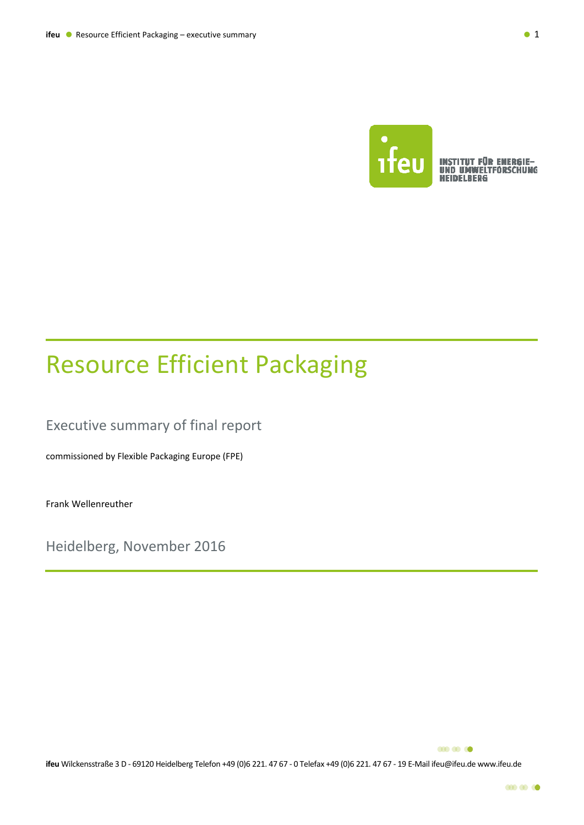

**INSTITUT FÜR ENERGIE-<br>UND UMWELTFORSCHUNG HEIDELBERG** 

## Resource Efficient Packaging

Executive summary of final report

commissioned by Flexible Packaging Europe (FPE)

Frank Wellenreuther

Heidelberg, November 2016

**000 000 00** 

**ifeu** Wilckensstraße 3 D ‐ 69120 Heidelberg Telefon +49 (0)6 221. 47 67 ‐ 0 Telefax +49 (0)6 221. 47 67 ‐ 19 E‐Mail ifeu@ifeu.de www.ifeu.de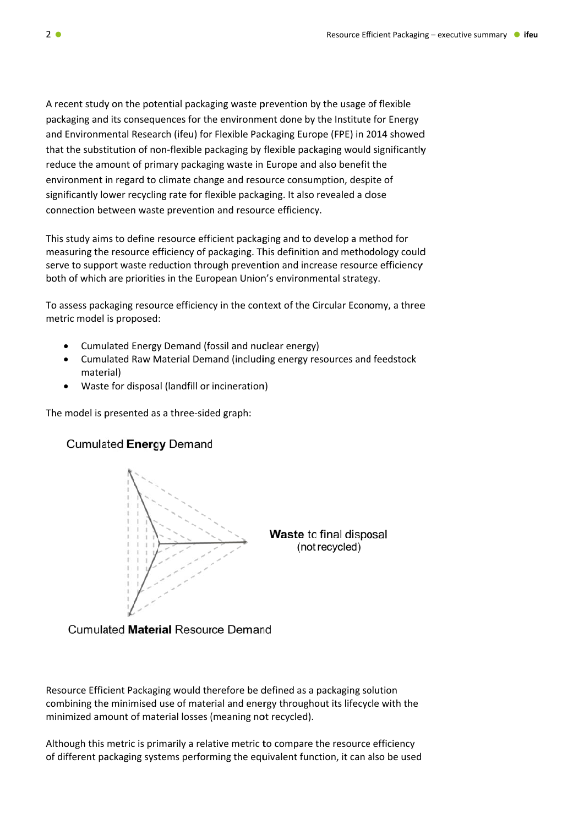A recent study on the potential packaging waste prevention by the usage of flexible packaging and its consequences for the environment done by the Institute for Energy and Environmental Research (ifeu) for Flexible Packaging Europe (FPE) in 2014 showed that the substitution of non-flexible packaging by flexible packaging would significantly reduce the amount of primary packaging waste in Europe and also benefit the environment in regard to climate change and resource consumption, despite of significantly lower recycling rate for flexible packaging. It also revealed a close connection between waste prevention and resource efficiency.

This study aims to define resource efficient packaging and to develop a method for measuring the resource efficiency of packaging. This definition and methodology could serve to support waste reduction through prevention and increase resource efficiency both of which are priorities in the European Union's environmental strategy.

To assess packaging resource efficiency in the context of the Circular Economy, a three metric model is proposed:

- Cumulated Energy Demand (fossil and nuclear energy)
- Cumulated Raw Material Demand (including energy resources and feedstock material)
- Waste for disposal (landfill or incineration)

The model is presented as a three-sided graph:

## **Cumulated Energy Demand**



Waste to final disposal (not recycled)

**Cumulated Material Resource Demand** 

Resource Efficient Packaging would therefore be defined as a packaging solution combining the minimised use of material and energy throughout its lifecycle with the minimized amount of material losses (meaning not recycled).

Although this metric is primarily a relative metric to compare the resource efficiency of different packaging systems performing the equivalent function, it can also be used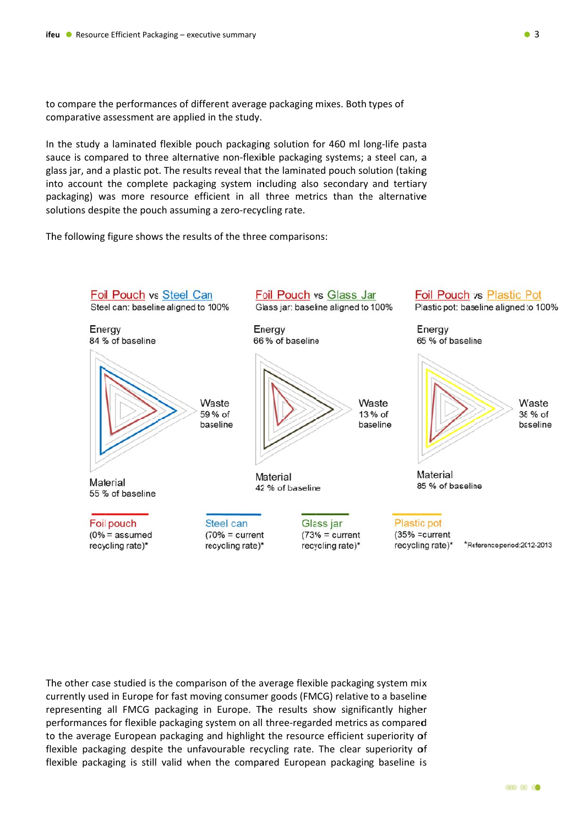to compare the performances of different average packaging mixes. Both types of comparative assessment are applied in the study.

In the study a laminated flexible pouch packaging solution for 460 ml long-life pasta sauce is compared to three alternative non-flexible packaging systems; a steel can, a glass jar, and a plastic pot. The results reveal that the laminated pouch solution (taking into account the complete packaging system including also secondary and tertiary packaging) was more resource efficient in all three metrics than the alternative solutions despite the pouch assuming a zero-recycling rate.

The following figure shows the results of the three comparisons:



The other case studied is the comparison of the average flexible packaging system mix currently used in Europe for fast moving consumer goods (FMCG) relative to a baseline representing all FMCG packaging in Europe. The results show significantly higher performances for flexible packaging system on all three-regarded metrics as compared to the average European packaging and highlight the resource efficient superiority of flexible packaging despite the unfavourable recycling rate. The clear superiority of flexible packaging is still valid when the compared European packaging baseline is

 $\bullet$  3